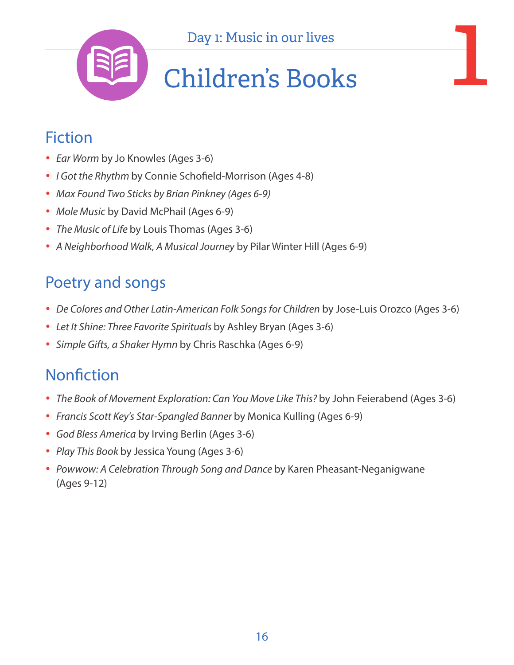

#### Fiction

- *Ear Worm* by Jo Knowles (Ages 3-6)
- *I Got the Rhythm* by Connie Schofield-Morrison (Ages 4-8)
- *Max Found Two Sticks by Brian Pinkney (Ages 6-9)*
- *Mole Music* by David McPhail (Ages 6-9)
- *The Music of Life* by Louis Thomas (Ages 3-6)
- *A Neighborhood Walk, A Musical Journey* by Pilar Winter Hill (Ages 6-9)

#### Poetry and songs

- *De Colores and Other Latin-American Folk Songs for Children* by Jose-Luis Orozco (Ages 3-6)
- • *Let It Shine: Three Favorite Spirituals* by Ashley Bryan (Ages 3-6)
- • *Simple Gifts, a Shaker Hymn* by Chris Raschka (Ages 6-9)

- The Book of Movement Exploration: Can You Move Like This? by John Feierabend (Ages 3-6)
- *Francis Scott Key's Star-Spangled Banner* by Monica Kulling (Ages 6-9)
- *God Bless America* by Irving Berlin (Ages 3-6)
- *Play This Book* by Jessica Young (Ages 3-6)
- *Powwow: A Celebration Through Song and Dance* by Karen Pheasant-Neganigwane (Ages 9-12)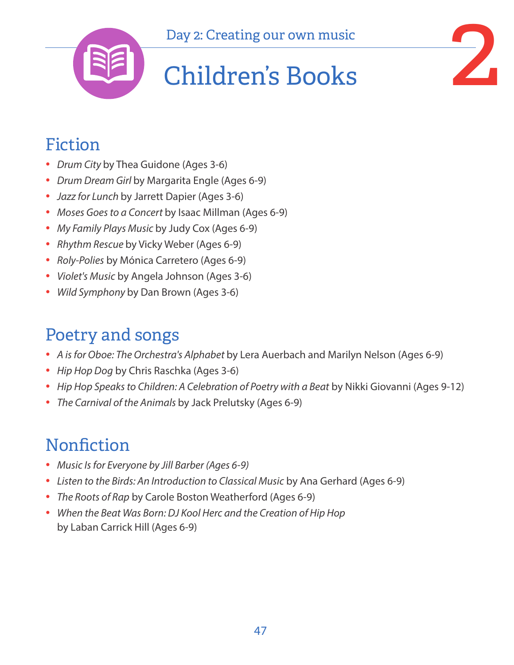





### Fiction

- *Drum City* by Thea Guidone (Ages 3-6)
- *Drum Dream Girl* by Margarita Engle (Ages 6-9)
- *Jazz for Lunch* by Jarrett Dapier (Ages 3-6)
- *Moses Goes to a Concert* by Isaac Millman (Ages 6-9)
- *My Family Plays Music* by Judy Cox (Ages 6-9)
- *Rhythm Rescue* by Vicky Weber (Ages 6-9)
- *Roly-Polies* by Mónica Carretero (Ages 6-9)
- *Violet's Music* by Angela Johnson (Ages 3-6)
- *Wild Symphony* by Dan Brown (Ages 3-6)

### Poetry and songs

- *A is for Oboe: The Orchestra's Alphabet* by Lera Auerbach and Marilyn Nelson (Ages 6-9)
- *Hip Hop Dog* by Chris Raschka (Ages 3-6)
- *Hip Hop Speaks to Children: A Celebration of Poetry with a Beat* by Nikki Giovanni (Ages 9-12)
- *The Carnival of the Animals* by Jack Prelutsky (Ages 6-9)

- *Music Is for Everyone by Jill Barber (Ages 6-9)*
- *Listen to the Birds: An Introduction to Classical Music* by Ana Gerhard (Ages 6-9)
- *The Roots of Rap* by Carole Boston Weatherford (Ages 6-9)
- *When the Beat Was Born: DJ Kool Herc and the Creation of Hip Hop*  by Laban Carrick Hill (Ages 6-9)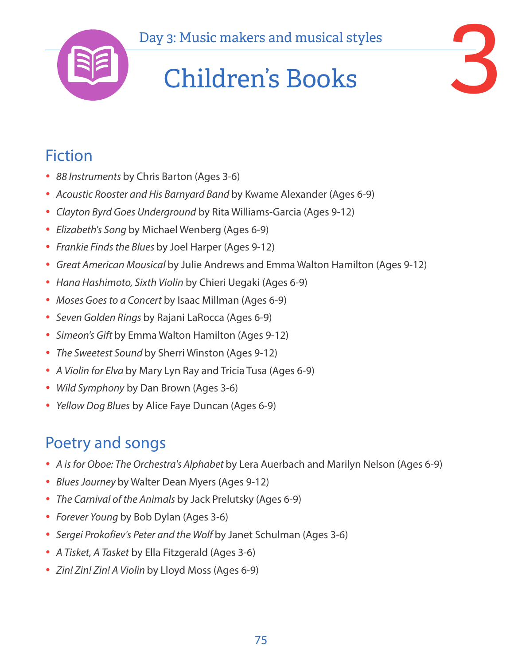

## Day 3: Music makers and musical styles<br> **Children's Books** Children's Books



### Fiction

- *88 Instruments* by Chris Barton (Ages 3-6)
- *Acoustic Rooster and His Barnyard Band* by Kwame Alexander (Ages 6-9)
- *Clayton Byrd Goes Underground* by Rita Williams-Garcia (Ages 9-12)
- *Elizabeth's Song* by Michael Wenberg (Ages 6-9)
- *Frankie Finds the Blues* by Joel Harper (Ages 9-12)
- *Great American Mousical* by Julie Andrews and Emma Walton Hamilton (Ages 9-12)
- *Hana Hashimoto, Sixth Violin* by Chieri Uegaki (Ages 6-9)
- *Moses Goes to a Concert* by Isaac Millman (Ages 6-9)
- *Seven Golden Rings* by Rajani LaRocca (Ages 6-9)
- *Simeon's Gift* by Emma Walton Hamilton (Ages 9-12)
- *The Sweetest Sound* by Sherri Winston (Ages 9-12)
- *A Violin for Elva* by Mary Lyn Ray and Tricia Tusa (Ages 6-9)
- *Wild Symphony* by Dan Brown (Ages 3-6)
- *Yellow Dog Blues* by Alice Faye Duncan (Ages 6-9)

### Poetry and songs

- *A is for Oboe: The Orchestra's Alphabet* by Lera Auerbach and Marilyn Nelson (Ages 6-9)
- *Blues Journey* by Walter Dean Myers (Ages 9-12)
- *The Carnival of the Animals* by Jack Prelutsky (Ages 6-9)
- *Forever Young* by Bob Dylan (Ages 3-6)
- *Sergei Prokofiev's Peter and the Wolf* by Janet Schulman (Ages 3-6)
- *A Tisket, A Tasket* by Ella Fitzgerald (Ages 3-6)
- *Zin! Zin! Zin! A Violin* by Lloyd Moss (Ages 6-9)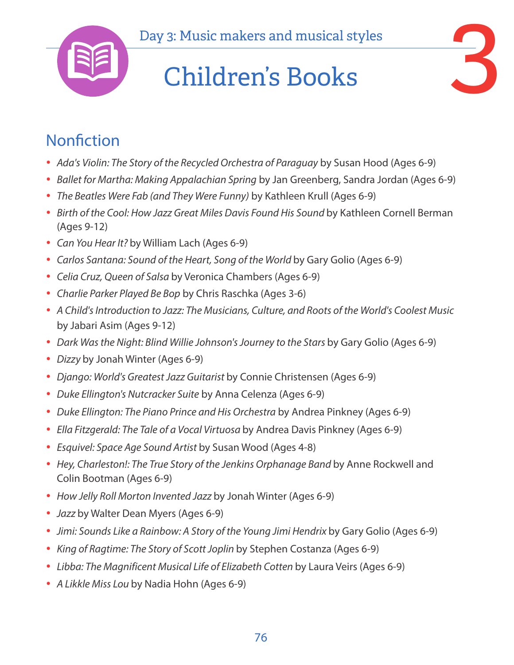

## Day 3: Music makers and musical styles<br> **Children's Books** Children's Books



- *Ada's Violin: The Story of the Recycled Orchestra of Paraguay* by Susan Hood (Ages 6-9)
- *Ballet for Martha: Making Appalachian Spring* by Jan Greenberg, Sandra Jordan (Ages 6-9)
- *The Beatles Were Fab (and They Were Funny)* by Kathleen Krull (Ages 6-9)
- Birth of the Cool: How Jazz Great Miles Davis Found His Sound by Kathleen Cornell Berman (Ages 9-12)
- *Can You Hear It?* by William Lach (Ages 6-9)
- *Carlos Santana: Sound of the Heart, Song of the World by Gary Golio (Ages 6-9)*
- *Celia Cruz, Queen of Salsa* by Veronica Chambers (Ages 6-9)
- *Charlie Parker Played Be Bop* by Chris Raschka (Ages 3-6)
- *A Child's Introduction to Jazz: The Musicians, Culture, and Roots of the World's Coolest Music* by Jabari Asim (Ages 9-12)
- *Dark Was the Night: Blind Willie Johnson's Journey to the Stars by Gary Golio (Ages 6-9)*
- *Dizzy* by Jonah Winter (Ages 6-9)
- *Django: World's Greatest Jazz Guitarist* by Connie Christensen (Ages 6-9)
- *Duke Ellington's Nutcracker Suite* by Anna Celenza (Ages 6-9)
- *Duke Ellington: The Piano Prince and His Orchestra* by Andrea Pinkney (Ages 6-9)
- *Ella Fitzgerald: The Tale of a Vocal Virtuosa* by Andrea Davis Pinkney (Ages 6-9)
- *Esquivel: Space Age Sound Artist* by Susan Wood (Ages 4-8)
- Hey, Charleston!: The True Story of the Jenkins Orphanage Band by Anne Rockwell and Colin Bootman (Ages 6-9)
- *How Jelly Roll Morton Invented Jazz* by Jonah Winter (Ages 6-9)
- *Jazz* by Walter Dean Myers (Ages 6-9)
- *Jimi: Sounds Like a Rainbow: A Story of the Young Jimi Hendrix by Gary Golio (Ages 6-9)*
- *King of Ragtime: The Story of Scott Joplin* by Stephen Costanza (Ages 6-9)
- *Libba: The Magnificent Musical Life of Elizabeth Cotten* by Laura Veirs (Ages 6-9)
- *A Likkle Miss Lou* by Nadia Hohn (Ages 6-9)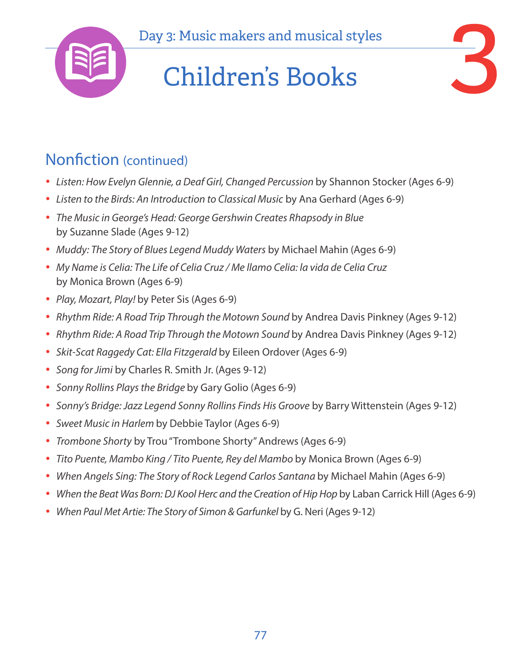

## Day 3: Music makers and musical styles<br> **Children's Books** Children's Books



#### Nonfiction (continued)

- Listen: How Evelyn Glennie, a Deaf Girl, Changed Percussion by Shannon Stocker (Ages 6-9)
- *Listen to the Birds: An Introduction to Classical Music* by Ana Gerhard (Ages 6-9)
- *The Music in George's Head: George Gershwin Creates Rhapsody in Blue*  by Suzanne Slade (Ages 9-12)
- *Muddy: The Story of Blues Legend Muddy Waters* by Michael Mahin (Ages 6-9)
- *My Name is Celia: The Life of Celia Cruz / Me llamo Celia: la vida de Celia Cruz*  by Monica Brown (Ages 6-9)
- *Play, Mozart, Play!* by Peter Sis (Ages 6-9)
- *Rhythm Ride: A Road Trip Through the Motown Sound by Andrea Davis Pinkney (Ages 9-12)*
- *Rhythm Ride: A Road Trip Through the Motown Sound by Andrea Davis Pinkney (Ages 9-12)*
- *Skit-Scat Raggedy Cat: Ella Fitzgerald* by Eileen Ordover (Ages 6-9)
- *Song for Jimi* by Charles R. Smith Jr. (Ages 9-12)
- *Sonny Rollins Plays the Bridge* by Gary Golio (Ages 6-9)
- *Sonny's Bridge: Jazz Legend Sonny Rollins Finds His Groove* by Barry Wittenstein (Ages 9-12)
- *Sweet Music in Harlem* by Debbie Taylor (Ages 6-9)
- *Trombone Shorty* by Trou "Trombone Shorty" Andrews (Ages 6-9)
- *Tito Puente, Mambo King / Tito Puente, Rey del Mambo* by Monica Brown (Ages 6-9)
- *When Angels Sing: The Story of Rock Legend Carlos Santana by Michael Mahin (Ages 6-9)*
- *When the Beat Was Born: DJ Kool Herc and the Creation of Hip Hop by Laban Carrick Hill (Ages 6-9)*
- *When Paul Met Artie: The Story of Simon & Garfunkel by G. Neri (Ages 9-12)*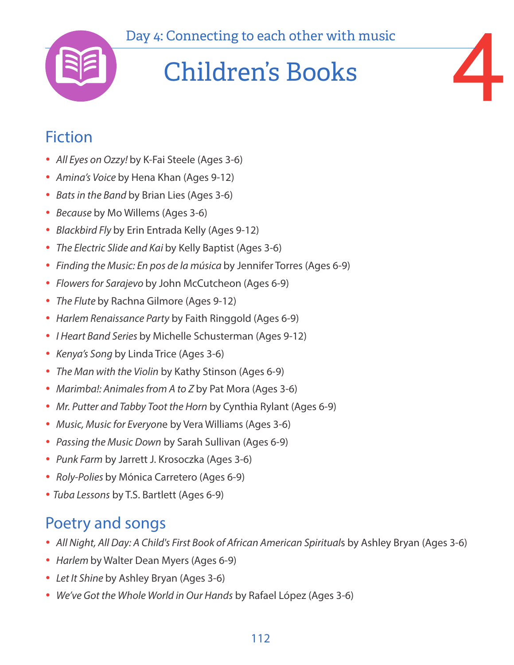

## Day 4: Connecting to each other with music<br>
Children's Books Children's Books

### Fiction

- *All Eyes on Ozzy!* by K-Fai Steele (Ages 3-6)
- *Amina's Voice* by Hena Khan (Ages 9-12)
- *Bats in the Band* by Brian Lies (Ages 3-6)
- *Because* by Mo Willems (Ages 3-6)
- *Blackbird Fly* by Erin Entrada Kelly (Ages 9-12)
- *The Electric Slide and Kai* by Kelly Baptist (Ages 3-6)
- *Finding the Music: En pos de la música* by Jennifer Torres (Ages 6-9)
- *Flowers for Sarajevo* by John McCutcheon (Ages 6-9)
- *The Flute* by Rachna Gilmore (Ages 9-12)
- *Harlem Renaissance Party* by Faith Ringgold (Ages 6-9)
- *I Heart Band Series* by Michelle Schusterman (Ages 9-12)
- *Kenya's Song* by Linda Trice (Ages 3-6)
- *The Man with the Violin* by Kathy Stinson (Ages 6-9)
- *Marimba!: Animales from A to Z* by Pat Mora (Ages 3-6)
- *Mr. Putter and Tabby Toot the Horn* by Cynthia Rylant (Ages 6-9)
- *Music, Music for Everyon*e by Vera Williams (Ages 3-6)
- *Passing the Music Down* by Sarah Sullivan (Ages 6-9)
- *Punk Farm* by Jarrett J. Krosoczka (Ages 3-6)
- *Roly-Polies* by Mónica Carretero (Ages 6-9)
- *Tuba Lessons* by T.S. Bartlett (Ages 6-9)

### Poetry and songs

- *All Night, All Day: A Child's First Book of African American Spiritual*s by Ashley Bryan (Ages 3-6)
- *Harlem* by Walter Dean Myers (Ages 6-9)
- *Let It Shine* by Ashley Bryan (Ages 3-6)
- *We've Got the Whole World in Our Hands* by Rafael López (Ages 3-6)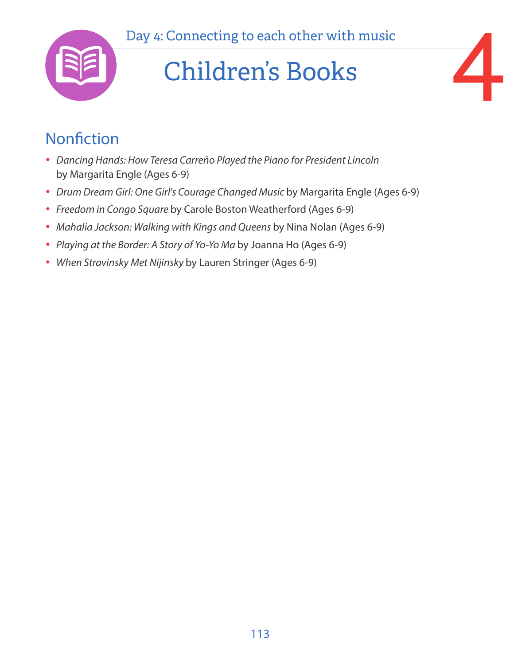

### Children's Books

# 4

- *Dancing Hands: How Teresa Carreño Played the Piano for President Lincoln*  by Margarita Engle (Ages 6-9)
- *Drum Dream Girl: One Girl's Courage Changed Music* by Margarita Engle (Ages 6-9)
- *Freedom in Congo Square* by Carole Boston Weatherford (Ages 6-9)
- *Mahalia Jackson: Walking with Kings and Queens* by Nina Nolan (Ages 6-9)
- *Playing at the Border: A Story of Yo-Yo Ma* by Joanna Ho (Ages 6-9)
- *When Stravinsky Met Nijinsky* by Lauren Stringer (Ages 6-9)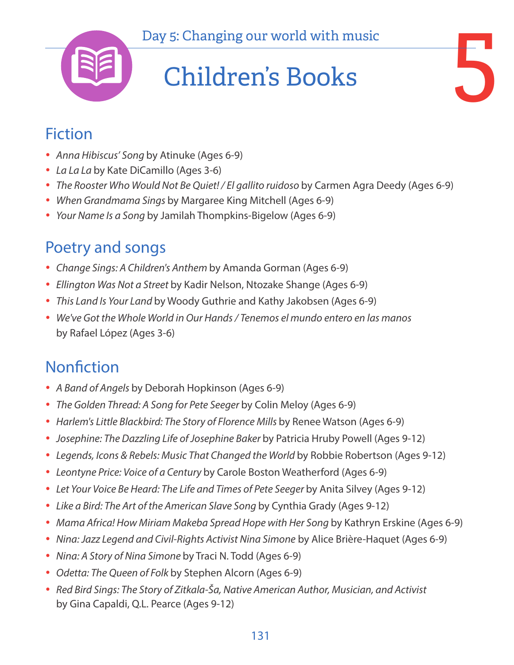

### Fiction

- *Anna Hibiscus' Song* by Atinuke (Ages 6-9)
- *La La La* by Kate DiCamillo (Ages 3-6)
- *The Rooster Who Would Not Be Quiet! / El gallito ruidoso* by Carmen Agra Deedy (Ages 6-9)
- *When Grandmama Sings* by Margaree King Mitchell (Ages 6-9)
- *Your Name Is a Song* by Jamilah Thompkins-Bigelow (Ages 6-9)

### Poetry and songs

- *Change Sings: A Children's Anthem* by Amanda Gorman (Ages 6-9)
- *Ellington Was Not a Street* by Kadir Nelson, Ntozake Shange (Ages 6-9)
- *This Land Is Your Land* by Woody Guthrie and Kathy Jakobsen (Ages 6-9)
- *We've Got the Whole World in Our Hands / Tenemos el mundo entero en las manos*  by Rafael López (Ages 3-6)

- *A Band of Angels* by Deborah Hopkinson (Ages 6-9)
- *The Golden Thread: A Song for Pete Seeger* by Colin Meloy (Ages 6-9)
- *Harlem's Little Blackbird: The Story of Florence Mills by Renee Watson (Ages 6-9)*
- *Josephine: The Dazzling Life of Josephine Baker* by Patricia Hruby Powell (Ages 9-12)
- Legends, Icons & Rebels: Music That Changed the World by Robbie Robertson (Ages 9-12)
- *Leontyne Price: Voice of a Century* by Carole Boston Weatherford (Ages 6-9)
- Let Your Voice Be Heard: The Life and Times of Pete Seeger by Anita Silvey (Ages 9-12)
- Like a Bird: The Art of the American Slave Song by Cynthia Grady (Ages 9-12)
- *Mama Africa! How Miriam Makeba Spread Hope with Her Song by Kathryn Erskine (Ages 6-9)*
- *Nina: Jazz Legend and Civil-Rights Activist Nina Simone* by Alice Brière-Haquet (Ages 6-9)
- *Nina: A Story of Nina Simone* by Traci N. Todd (Ages 6-9)
- *Odetta: The Queen of Folk* by Stephen Alcorn (Ages 6-9)
- *Red Bird Sings: The Story of Zitkala-Ša, Native American Author, Musician, and Activist* by Gina Capaldi, Q.L. Pearce (Ages 9-12)